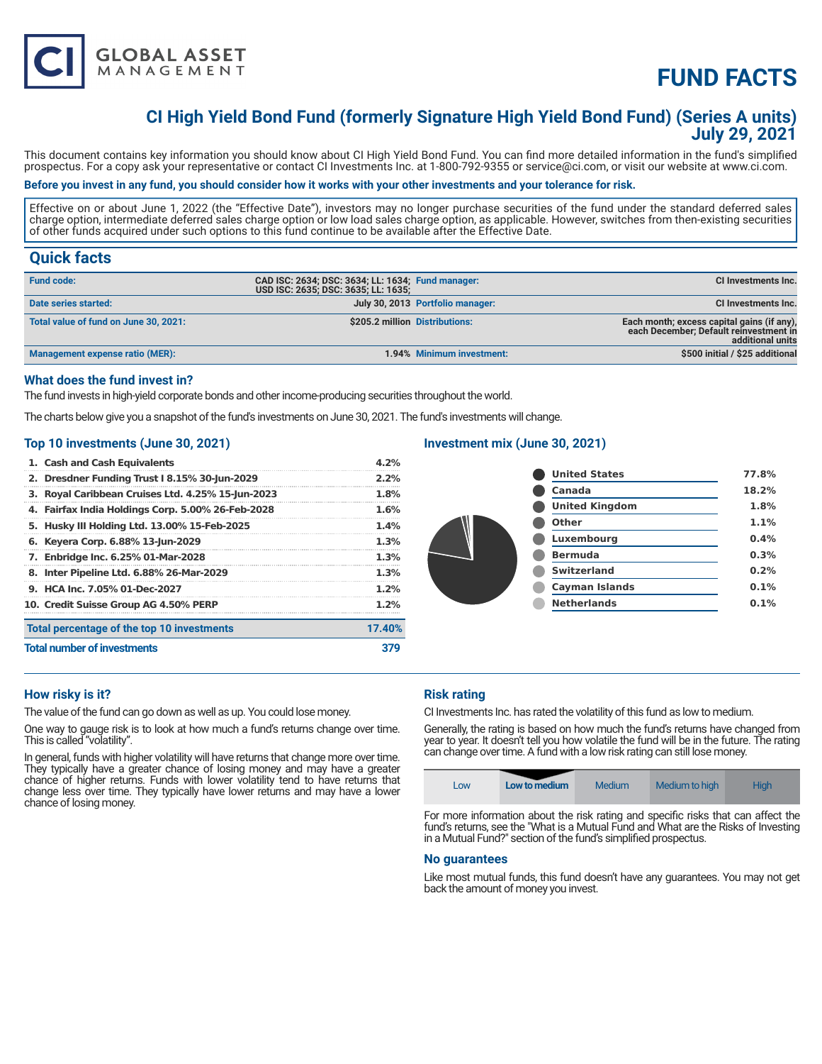

# **FUND FACTS**

### **CI High Yield Bond Fund (formerly Signature High Yield Bond Fund) (Series A units) July 29, 2021**

This document contains key information you should know about CI High Yield Bond Fund. You can find more detailed information in the fund's simplified prospectus. For a copy ask your representative or contact CI Investments Inc. at 1-800-792-9355 or service@ci.com, or visit our website at www.ci.com.

#### **Before you invest in any fund, you should consider how it works with your other investments and your tolerance for risk.**

Effective on or about June 1, 2022 (the "Effective Date"), investors may no longer purchase securities of the fund under the standard deferred sales charge option, intermediate deferred sales charge option or low load sales charge option, as applicable. However, switches from then-existing securities of other funds acquired under such options to this fund continue to be available after the Effective Date.

### **Quick facts**

| <b>Fund code:</b>                     | CAD ISC: 2634; DSC: 3634; LL: 1634; Fund manager:<br>USD ISC: 2635; DSC: 3635; LL: 1635; |                                  | CI Investments Inc.                                                                                      |
|---------------------------------------|------------------------------------------------------------------------------------------|----------------------------------|----------------------------------------------------------------------------------------------------------|
| Date series started:                  |                                                                                          | July 30, 2013 Portfolio manager: | <b>CI Investments Inc.</b>                                                                               |
| Total value of fund on June 30, 2021: | \$205.2 million Distributions:                                                           |                                  | Each month; excess capital gains (if any).<br>each December; Default reinvestment in<br>additional units |
| Management expense ratio (MER):       |                                                                                          | 1.94% Minimum investment:        | \$500 initial / \$25 additional                                                                          |

#### **What does the fund invest in?**

The fund invests in high-yield corporate bonds and other income-producing securities throughout the world.

The charts below give you a snapshot of the fund's investments on June 30, 2021. The fund's investments will change.

#### **Top 10 investments (June 30, 2021)**

| 1. Cash and Cash Equivalents                      | 4.2%   |
|---------------------------------------------------|--------|
| 2. Dresdner Funding Trust I 8.15% 30-Jun-2029     | 2.2%   |
| 3. Royal Caribbean Cruises Ltd. 4.25% 15-Jun-2023 | 1.8%   |
| 4. Fairfax India Holdings Corp. 5.00% 26-Feb-2028 | 1.6%   |
| 5. Husky III Holding Ltd. 13.00% 15-Feb-2025      | 1.4%   |
| 6. Keyera Corp. 6.88% 13-Jun-2029                 | 1.3%   |
| 7. Enbridge Inc. 6.25% 01-Mar-2028                | 1.3%   |
| 8. Inter Pipeline Ltd. 6.88% 26-Mar-2029          | 1.3%   |
| 9. HCA Inc. 7.05% 01-Dec-2027                     | 1.2%   |
| 10. Credit Suisse Group AG 4.50% PERP             | 1.2%   |
| Total percentage of the top 10 investments        | 17.40% |
| <b>Total number of investments</b>                |        |

### **Investment mix (June 30, 2021)**

| <b>United States</b>  | 77.8% |
|-----------------------|-------|
| Canada                | 18.2% |
| <b>United Kingdom</b> | 1.8%  |
| Other                 | 1.1%  |
| Luxembourg            | 0.4%  |
| <b>Bermuda</b>        | 0.3%  |
| <b>Switzerland</b>    | 0.2%  |
| <b>Cayman Islands</b> | 0.1%  |
| <b>Netherlands</b>    | 0.1%  |
|                       |       |

#### **How risky is it?**

The value of the fund can go down as well as up. You could lose money.

One way to gauge risk is to look at how much a fund's returns change over time. This is called "volatility".

In general, funds with higher volatility will have returns that change more over time. They typically have a greater chance of losing money and may have a greater chance of higher returns. Funds with lower volatility tend to have returns that change less over time. They typically have lower returns and may have a lower chance of losing money.

#### **Risk rating**

CI Investments Inc. has rated the volatility of this fund as low to medium.

Generally, the rating is based on how much the fund's returns have changed from year to year. It doesn't tell you how volatile the fund will be in the future. The rating can change over time. A fund with a low risk rating can still lose money.

| LOW | Low to medium | Medium | Medium to high | High |
|-----|---------------|--------|----------------|------|
|-----|---------------|--------|----------------|------|

For more information about the risk rating and specific risks that can affect the fund's returns, see the "What is a Mutual Fund and What are the Risks of Investing in a Mutual Fund?" section of the fund's simplified prospectus.

#### **No guarantees**

Like most mutual funds, this fund doesn't have any guarantees. You may not get back the amount of money you invest.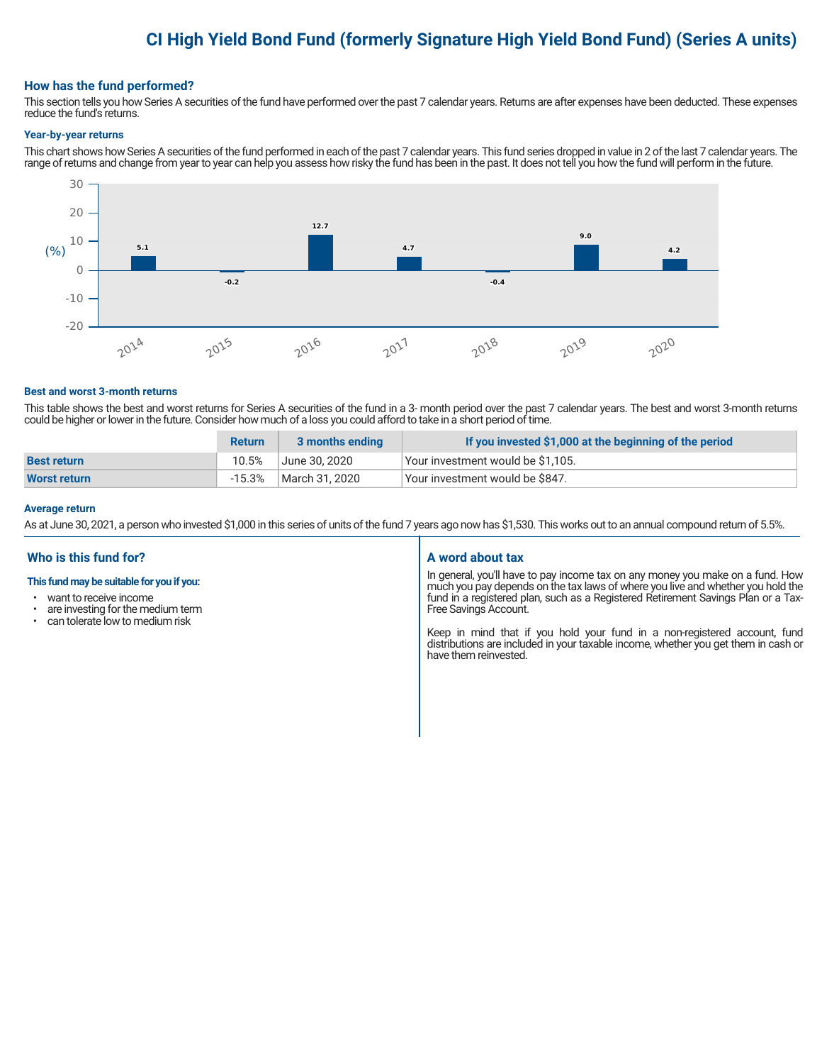# **CI High Yield Bond Fund (formerly Signature High Yield Bond Fund) (Series A units)**

#### **How has the fund performed?**

This section tells you how Series A securities of the fund have performed over the past 7 calendar years. Returns are after expenses have been deducted. These expenses reduce the fund's returns.

#### **Year-by-year returns**

This chart shows how Series A securities of the fund performed in each of the past 7 calendar years. This fund series dropped in value in 2 of the last 7 calendar years. The range of returns and change from year to year can help you assess how risky the fund has been in the past. It does not tell you how the fund will perform in the future.



#### **Best and worst 3-month returns**

This table shows the best and worst returns for Series A securities of the fund in a 3- month period over the past 7 calendar years. The best and worst 3-month returns could be higher or lower in the future. Consider how much of a loss you could afford to take in a short period of time.

|                    | <b>Return</b> | 3 months ending | If you invested \$1,000 at the beginning of the period |
|--------------------|---------------|-----------------|--------------------------------------------------------|
| <b>Best return</b> | 10.5%         | ا June 30. 2020 | Your investment would be \$1,105.                      |
| Worst return       | $-15.3%$      | March 31, 2020  | Vour investment would be \$847.                        |

#### **Average return**

As at June 30, 2021, a person who invested \$1,000 in this series of units of the fund 7 years ago now has \$1,530. This works out to an annual compound return of 5.5%.

### **Who is this fund for?**

#### **This fund may be suitable for you if you:**

- want to receive income
- are investing for the medium term<br>• can telerate low to medium risk
- can tolerate low to medium risk

#### **A word about tax**

In general, you'll have to pay income tax on any money you make on a fund. How much you pay depends on the tax laws of where you live and whether you hold the fund in a registered plan, such as a Registered Retirement Savings Plan or a Tax-Free Savings Account.

Keep in mind that if you hold your fund in a non-registered account, fund distributions are included in your taxable income, whether you get them in cash or have them reinvested.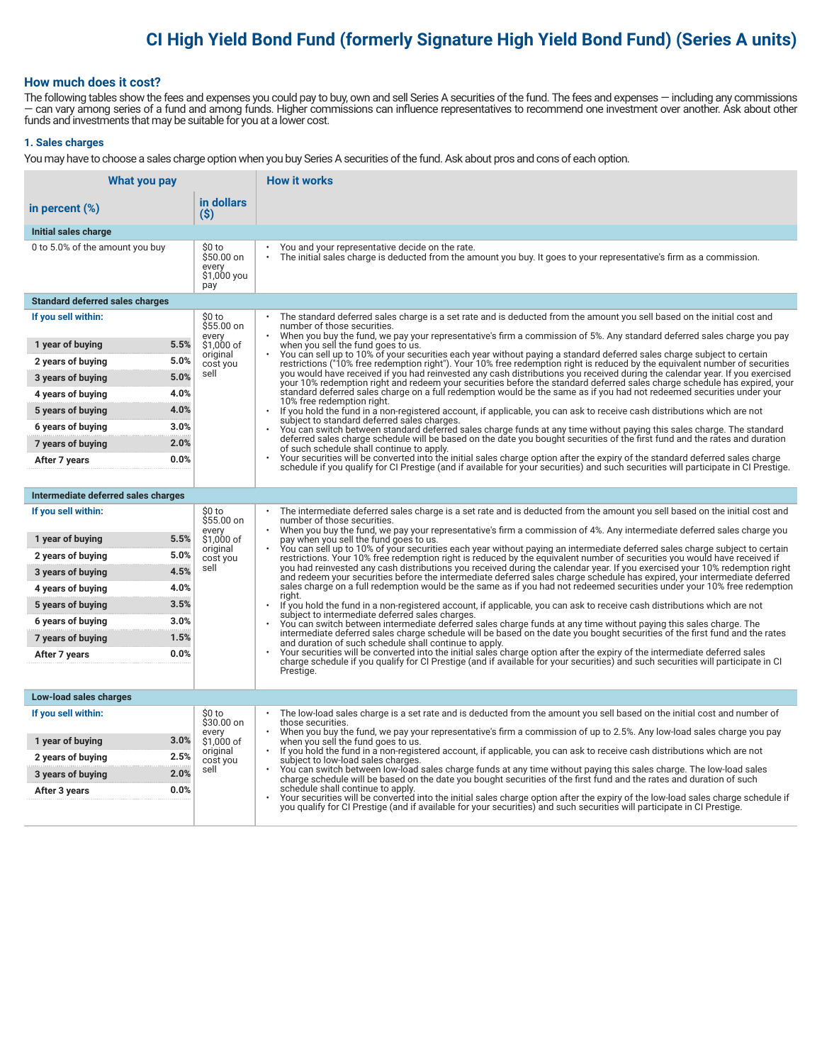# **CI High Yield Bond Fund (formerly Signature High Yield Bond Fund) (Series A units)**

#### **How much does it cost?**

The following tables show the fees and expenses you could pay to buy, own and sell Series A securities of the fund. The fees and expenses — including any commissions — can vary among series of a fund and among funds. Higher commissions can influence representatives to recommend one investment over another. Ask about other funds and investments that may be suitable for you at a lower cost.

#### **1. Sales charges**

You may have to choose a sales charge option when you buy Series A securities of the fund. Ask about pros and cons of each option.

| <b>What you pay</b>                    |                                                     | <b>How it works</b>                                                                                                                                                                                                                                                                   |
|----------------------------------------|-----------------------------------------------------|---------------------------------------------------------------------------------------------------------------------------------------------------------------------------------------------------------------------------------------------------------------------------------------|
| in percent $(\%)$                      | in dollars<br>(S)                                   |                                                                                                                                                                                                                                                                                       |
| Initial sales charge                   |                                                     |                                                                                                                                                                                                                                                                                       |
| 0 to 5.0% of the amount you buy        | \$0 to<br>\$50.00 on<br>every<br>\$1,000 you<br>pay | You and your representative decide on the rate.<br>The initial sales charge is deducted from the amount you buy. It goes to your representative's firm as a commission.                                                                                                               |
| <b>Standard deferred sales charges</b> |                                                     |                                                                                                                                                                                                                                                                                       |
| If you sell within:                    | \$0 to<br>\$55.00 on<br>every                       | The standard deferred sales charge is a set rate and is deducted from the amount you sell based on the initial cost and<br>number of those securities.<br>When you buy the fund, we pay your representative's firm a commission of 5%. Any standard deferred sales charge you pay     |
| 5.5%<br>1 year of buying               | \$1.000 of                                          | when you sell the fund goes to us.                                                                                                                                                                                                                                                    |
| 5.0%<br>2 years of buying              | original<br>cost you                                | You can sell up to 10% of your securities each year without paying a standard deferred sales charge subject to certain<br>restrictions ("10% free redemption right"). Your 10% free redemption right is reduced by the equivalent number of securities                                |
| 5.0%<br>3 years of buying              | sell                                                | you would have received if you had reinvested any cash distributions you received during the calendar year. If you exercised<br>your 10% redemption right and redeem your securities before the standard deferred sales charge schedule has expired, your                             |
| 4.0%<br>4 years of buying              |                                                     | standard deferred sales charge on a full redemption would be the same as if you had not redeemed securities under your<br>10% free redemption right.                                                                                                                                  |
| 4.0%<br>5 years of buying              |                                                     | $\bullet$<br>If you hold the fund in a non-registered account, if applicable, you can ask to receive cash distributions which are not<br>subject to standard deferred sales charges.                                                                                                  |
| 3.0%<br>6 years of buying              |                                                     | You can switch between standard deferred sales charge funds at any time without paying this sales charge. The standard                                                                                                                                                                |
| 2.0%<br>7 years of buying              |                                                     | deferred sales charge schedule will be based on the date you bought securities of the first fund and the rates and duration<br>of such schedule shall continue to apply.                                                                                                              |
| 0.0%<br>After 7 years                  |                                                     | Your securities will be converted into the initial sales charge option after the expiry of the standard deferred sales charge<br>schedule if you qualify for CI Prestige (and if available for your securities) and such securities will participate in CI Prestige.                  |
|                                        |                                                     |                                                                                                                                                                                                                                                                                       |
| Intermediate deferred sales charges    |                                                     |                                                                                                                                                                                                                                                                                       |
| If you sell within:                    | \$0 to<br>\$55.00 on<br>every                       | The intermediate deferred sales charge is a set rate and is deducted from the amount you sell based on the initial cost and<br>number of those securities.<br>When you buy the fund, we pay your representative's firm a commission of 4%. Any intermediate deferred sales charge you |
| 5.5%<br>1 year of buying               | \$1,000 of<br>original                              | pay when you sell the fund goes to us.<br>You can sell up to 10% of your securities each year without paying an intermediate deferred sales charge subject to certain                                                                                                                 |
| 5.0%<br>2 years of buying              | cost you                                            | restrictions. Your 10% free redemption right is reduced by the equivalent number of securities you would have received if                                                                                                                                                             |
| 4.5%<br>3 years of buying              | sell                                                | you had reinvested any cash distributions you received during the calendar year. If you exercised your 10% redemption right<br>and redeem your securities before the intermediate deferred sales charge schedule has expired, your intermediate deferred                              |
| 4.0%<br>4 years of buying              |                                                     | sales charge on a full redemption would be the same as if you had not redeemed securities under your 10% free redemption<br>riaht.                                                                                                                                                    |
| 3.5%<br>5 years of buying              |                                                     | If you hold the fund in a non-registered account, if applicable, you can ask to receive cash distributions which are not<br>subject to intermediate deferred sales charges.                                                                                                           |
| 6 years of buying<br>3.0%              |                                                     | You can switch between intermediate deferred sales charge funds at any time without paying this sales charge. The<br>intermediate deferred sales charge schedule will be based on the date you bought securities of the first fund and the rates                                      |
| 1.5%<br>7 years of buying<br>0.0%      |                                                     | and duration of such schedule shall continue to apply.<br>Your securities will be converted into the initial sales charge option after the expiry of the intermediate deferred sales                                                                                                  |
| After 7 years                          |                                                     | charge schedule if you qualify for CI Prestige (and if available for your securities) and such securities will participate in CI<br>Prestige.                                                                                                                                         |
|                                        |                                                     |                                                                                                                                                                                                                                                                                       |
| Low-load sales charges                 |                                                     |                                                                                                                                                                                                                                                                                       |
| If you sell within:                    | \$0 to<br>\$30.00 on                                | The low-load sales charge is a set rate and is deducted from the amount you sell based on the initial cost and number of<br>those securities.                                                                                                                                         |
| 3.0%<br>1 year of buying               | every<br>\$1,000 of                                 | When you buy the fund, we pay your representative's firm a commission of up to 2.5%. Any low-load sales charge you pay<br>when you sell the fund goes to us.                                                                                                                          |
| 2.5%<br>2 years of buying              | original                                            | If you hold the fund in a non-registered account, if applicable, you can ask to receive cash distributions which are not                                                                                                                                                              |
| 2.0%<br>3 years of buying              | cost you<br>sell                                    | subject to low-load sales charges.<br>You can switch between low-load sales charge funds at any time without paying this sales charge. The low-load sales                                                                                                                             |
| 0.0%<br>After 3 years                  |                                                     | charge schedule will be based on the date you bought securities of the first fund and the rates and duration of such<br>schedule shall continue to apply.                                                                                                                             |
|                                        |                                                     | Your securities will be converted into the initial sales charge option after the expiry of the low-load sales charge schedule if<br>you qualify for CI Prestige (and if available for your securities) and such securities will participate in CI Prestige.                           |